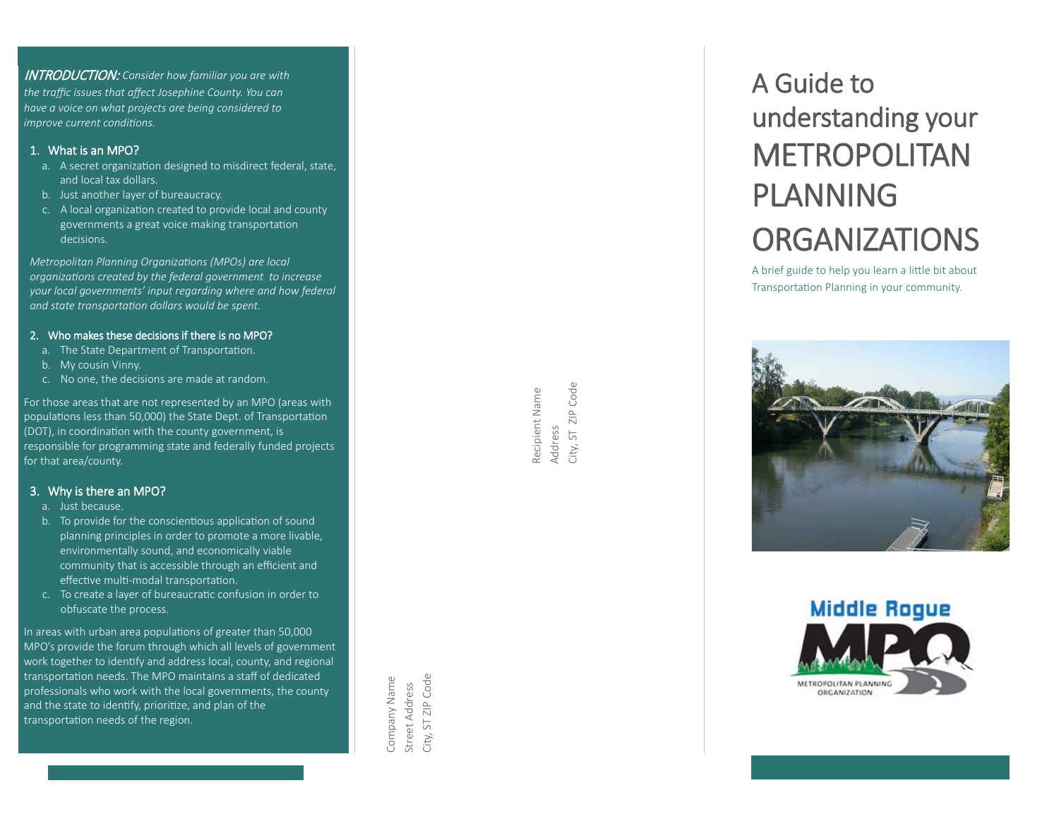INTRODUCTION: *Consider how familiar you are with the traffic issues that affect Josephine County. You can have a voice on what projects are being considered to improve current conditions.* 

#### 1. What is a n MPO ?

- a. A secret organization designed to misdirect federal, state, and local tax dollars.
- b. Just another layer of bureaucracy.
- c. A local organization created to provide local and county governments a great voice making transportation decisions.

*Metropolitan Planning Organizations ( MPOs) are local organizations created by the federal government to increase your local governments' input regarding where and how federal and state transportation dollars would be spent.*

#### 2. Who makes these decisions if there is no MPO ?

- a. The State Department of Transportation.
- b. My cousin Vinny.
- c. No one, the decisions are made at random.

For those areas that are not represented by a n MPO (areas with populations less than 50,000) the State Dept. of Transportation (DOT), in coordination with the county government, is responsible for programming state and federally funded projects for that area/county.

#### 3. Why is there a n MPO ?

- a. Just because.
- b. To provide for the conscientious application of sound planning principles in order to promote a more livable , environmentally sound, and economically viable community that is accessible through an efficient and effective multi-modal transportation.
- c. To create a layer of bureaucra�c confusion in order to obfuscate the process.

In areas with urban area populations of greater than 50,000 MPO's provide the forum through which all levels of government work together to identify and address local, county, and regional transportation needs. The MPO maintains a staff of dedicated professionals who work with the local governments, the county and the state to identify, prioritize, and plan of the transportation needs of the region.

Company Name ST ZIP Code City, ST ZIP Code Company Name Street Address Street Address City.

Code City, ST ZIP Code Recipient Name Recipient Name  $\frac{p}{\sqrt{2}}$ Address  $5\overline{5}$ City.

# A Guide to understanding your METROPOLITAN PLANNING **ORGANIZATIONS**

A brief guide to help you learn a little bit about Transportation Planning in your community.